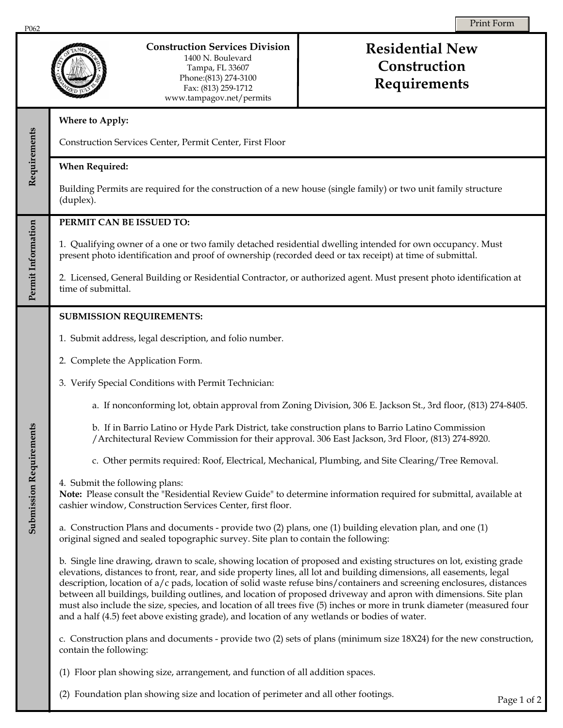|                         | <b>Construction Services Division</b><br>1400 N. Boulevard<br>Tampa, FL 33607<br>Phone: (813) 274-3100<br>Fax: (813) 259-1712<br>www.tampagov.net/permits                                                                                                                                                                                                                                                                                                                                                                                                                                                                                                                                                            | <b>Residential New</b><br>Construction<br>Requirements |
|-------------------------|----------------------------------------------------------------------------------------------------------------------------------------------------------------------------------------------------------------------------------------------------------------------------------------------------------------------------------------------------------------------------------------------------------------------------------------------------------------------------------------------------------------------------------------------------------------------------------------------------------------------------------------------------------------------------------------------------------------------|--------------------------------------------------------|
| Requirements            | Where to Apply:                                                                                                                                                                                                                                                                                                                                                                                                                                                                                                                                                                                                                                                                                                      |                                                        |
|                         | Construction Services Center, Permit Center, First Floor                                                                                                                                                                                                                                                                                                                                                                                                                                                                                                                                                                                                                                                             |                                                        |
|                         | <b>When Required:</b>                                                                                                                                                                                                                                                                                                                                                                                                                                                                                                                                                                                                                                                                                                |                                                        |
|                         | Building Permits are required for the construction of a new house (single family) or two unit family structure<br>(duplex).                                                                                                                                                                                                                                                                                                                                                                                                                                                                                                                                                                                          |                                                        |
|                         | PERMIT CAN BE ISSUED TO:                                                                                                                                                                                                                                                                                                                                                                                                                                                                                                                                                                                                                                                                                             |                                                        |
| Permit Information      | 1. Qualifying owner of a one or two family detached residential dwelling intended for own occupancy. Must<br>present photo identification and proof of ownership (recorded deed or tax receipt) at time of submittal.                                                                                                                                                                                                                                                                                                                                                                                                                                                                                                |                                                        |
|                         | 2. Licensed, General Building or Residential Contractor, or authorized agent. Must present photo identification at<br>time of submittal.                                                                                                                                                                                                                                                                                                                                                                                                                                                                                                                                                                             |                                                        |
| Submission Requirements | <b>SUBMISSION REQUIREMENTS:</b>                                                                                                                                                                                                                                                                                                                                                                                                                                                                                                                                                                                                                                                                                      |                                                        |
|                         | 1. Submit address, legal description, and folio number.                                                                                                                                                                                                                                                                                                                                                                                                                                                                                                                                                                                                                                                              |                                                        |
|                         | 2. Complete the Application Form.                                                                                                                                                                                                                                                                                                                                                                                                                                                                                                                                                                                                                                                                                    |                                                        |
|                         | 3. Verify Special Conditions with Permit Technician:                                                                                                                                                                                                                                                                                                                                                                                                                                                                                                                                                                                                                                                                 |                                                        |
|                         | a. If nonconforming lot, obtain approval from Zoning Division, 306 E. Jackson St., 3rd floor, (813) 274-8405.                                                                                                                                                                                                                                                                                                                                                                                                                                                                                                                                                                                                        |                                                        |
|                         | b. If in Barrio Latino or Hyde Park District, take construction plans to Barrio Latino Commission<br>/Architectural Review Commission for their approval. 306 East Jackson, 3rd Floor, (813) 274-8920.                                                                                                                                                                                                                                                                                                                                                                                                                                                                                                               |                                                        |
|                         | c. Other permits required: Roof, Electrical, Mechanical, Plumbing, and Site Clearing/Tree Removal.                                                                                                                                                                                                                                                                                                                                                                                                                                                                                                                                                                                                                   |                                                        |
|                         | 4. Submit the following plans:<br>Note: Please consult the "Residential Review Guide" to determine information required for submittal, available at<br>cashier window, Construction Services Center, first floor.                                                                                                                                                                                                                                                                                                                                                                                                                                                                                                    |                                                        |
|                         | a. Construction Plans and documents - provide two (2) plans, one (1) building elevation plan, and one (1)<br>original signed and sealed topographic survey. Site plan to contain the following:                                                                                                                                                                                                                                                                                                                                                                                                                                                                                                                      |                                                        |
|                         | b. Single line drawing, drawn to scale, showing location of proposed and existing structures on lot, existing grade<br>elevations, distances to front, rear, and side property lines, all lot and building dimensions, all easements, legal<br>description, location of a/c pads, location of solid waste refuse bins/containers and screening enclosures, distances<br>between all buildings, building outlines, and location of proposed driveway and apron with dimensions. Site plan<br>must also include the size, species, and location of all trees five (5) inches or more in trunk diameter (measured four<br>and a half (4.5) feet above existing grade), and location of any wetlands or bodies of water. |                                                        |
|                         | c. Construction plans and documents - provide two (2) sets of plans (minimum size 18X24) for the new construction,<br>contain the following:                                                                                                                                                                                                                                                                                                                                                                                                                                                                                                                                                                         |                                                        |
|                         | (1) Floor plan showing size, arrangement, and function of all addition spaces.                                                                                                                                                                                                                                                                                                                                                                                                                                                                                                                                                                                                                                       |                                                        |

(2) Foundation plan showing size and location of perimeter and all other footings.